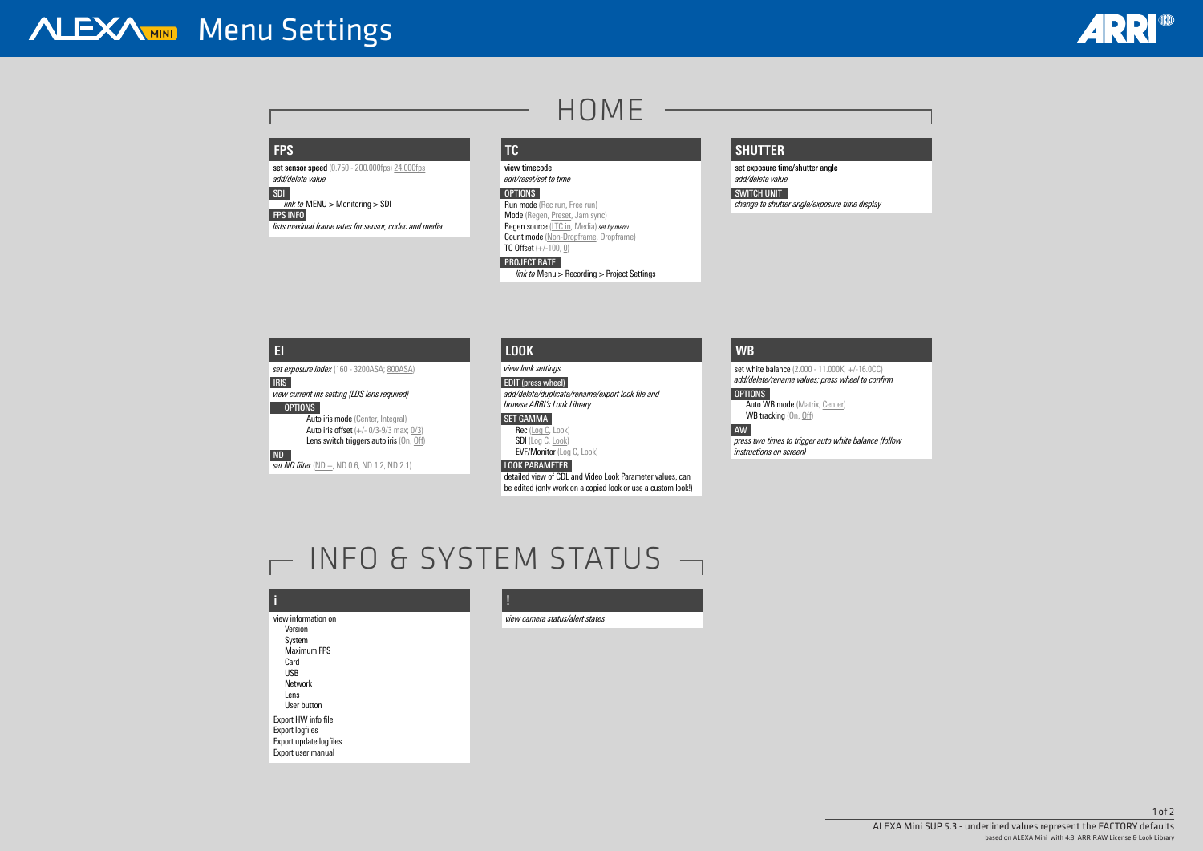# **i**

view information on Version System Maximum FPS Card USB Network Lens User button Export HW info file Export logfiles Export update logfiles Export user manual

**set sensor speed** (0.750 - 200.000fps) 24.000fps *add/delete value*

**!**

*view camera status/alert states*

Run mode (Rec run, Free run) Mode (Regen, Preset, Jam sync) Regen source (LTC in, Media) *set by menu* Count mode (Non-Dropframe, Dropframe)

# **ALEXAMIN** Menu Settings

# HOME

# **FPS**

*SDI link to* MENU > Monitoring > SDI

*FPS INFO lists maximal frame rates for sensor, codec and media*

TC Offset  $(+/-100, 0)$ 

**TC**

*view timecode edit/reset/set to time*

### *OPTIONS*

*ND set ND filter* (ND −, ND 0.6, ND 1.2, ND 2.1) set white balance (2.000 - 11.000K; +/-16.0CC) *add/delete/rename values; press wheel to confirm*

*OPTIONS* Auto WB mode (Matrix, Center) WB tracking (On, Off)

# *PROJECT RATE*

 *link to* Menu > Recording > Project Settings

# **SHUTTER**

*set exposure time/shutter angle add/delete value*

# *SWITCH UNIT*

*change to shutter angle/exposure time display*

# **EI**

*set exposure index* (160 - 3200ASA; 800ASA)

*IRIS view current iris setting (LDS lens required) OPTIONS* 

Auto iris mode (Center, Integral) Auto iris offset  $(+/- 0/3-9/3$  max;  $0/3$ ) Lens switch triggers auto iris (On, Off)

# **WB**

*AW*

*press two times to trigger auto white balance (follow instructions on screen)*

# INFO & SYSTEM STATUS -

# **LOOK**

*view look settings*

*EDIT (press wheel) add/delete/duplicate/rename/export look file and browse ARRI's Look Library*

### *SET GAMMA*

Rec (Log C, Look) SDI (Log C, Look) EVF/Monitor (Log C, Look)

# *LOOK PARAMETER*

detailed view of CDL and Video Look Parameter values, can be edited (only work on a copied look or use a custom look!)